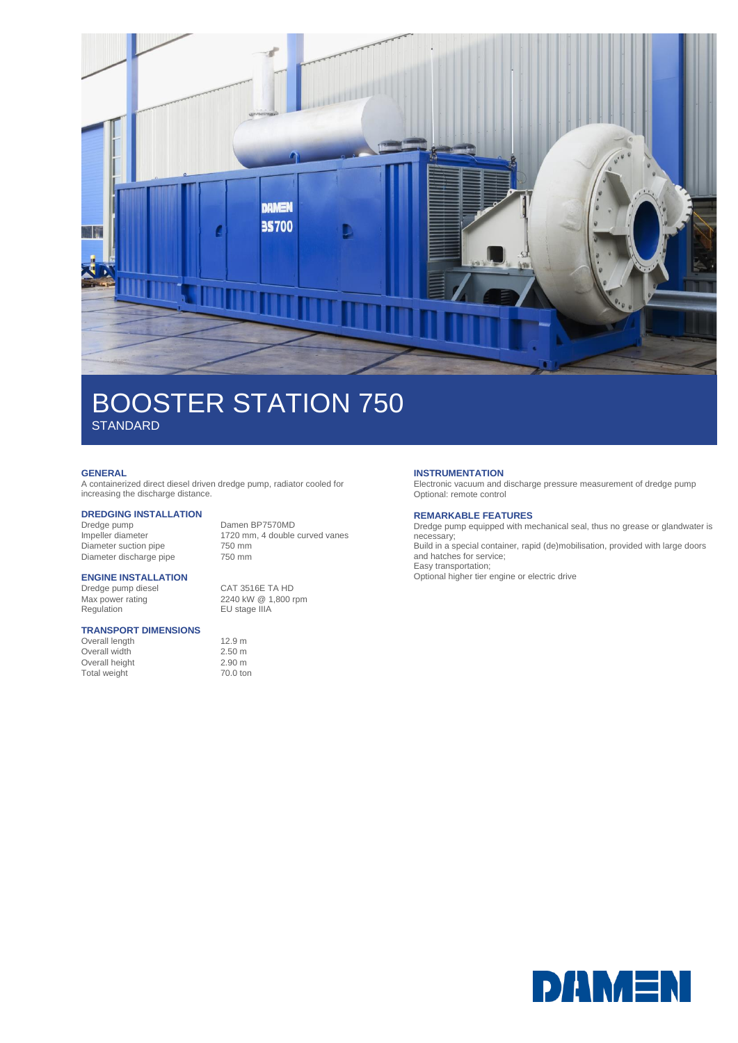

## BOOSTER STATION 750 **STANDARD**

### **GENERAL**

A containerized direct diesel driven dredge pump, radiator cooled for increasing the discharge distance.

# **DREDGING INSTALLATION**

Dredge pump Damen BP7570MD<br>Impeller diameter 1720 mm, 4 double Diameter suction pipe 750 mm<br>Diameter discharge pipe 750 mm Diameter discharge pipe

1720 mm, 4 double curved vanes<br>750 mm

### **ENGINE INSTALLATION**

Dredge pump diesel<br>
Max power rating 
2240 kW 
@ 1,800 r Regulation **EU** stage IIIA

### **TRANSPORT DIMENSIONS**

Overall length 12.9 m Overall width 2.50 m Overall height 2.90 m<br>
Total weight 70.0 ton Total weight

2240 kW @ 1,800 rpm

### **INSTRUMENTATION**

Electronic vacuum and discharge pressure measurement of dredge pump Optional: remote control

### **REMARKABLE FEATURES**

Dredge pump equipped with mechanical seal, thus no grease or glandwater is necessary; Build in a special container, rapid (de)mobilisation, provided with large doors and hatches for service; Easy transportation;

Optional higher tier engine or electric drive